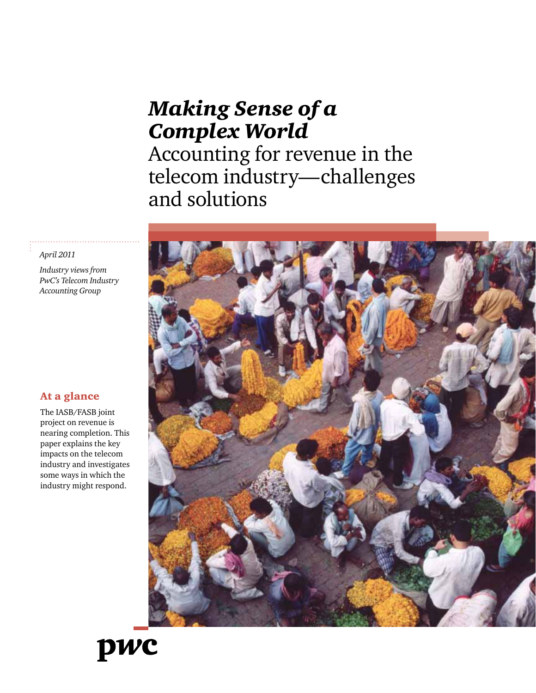# *Making Sense of a Complex World*

Accounting for revenue in the telecom industry—challenges and solutions



#### *April 2011*

*Industry views from PwC's Telecom Industry Accounting Group*

#### At a glance

The IASB/FASB joint project on revenue is nearing completion. This paper explains the key impacts on the telecom industry and investigates some ways in which the industry might respond.

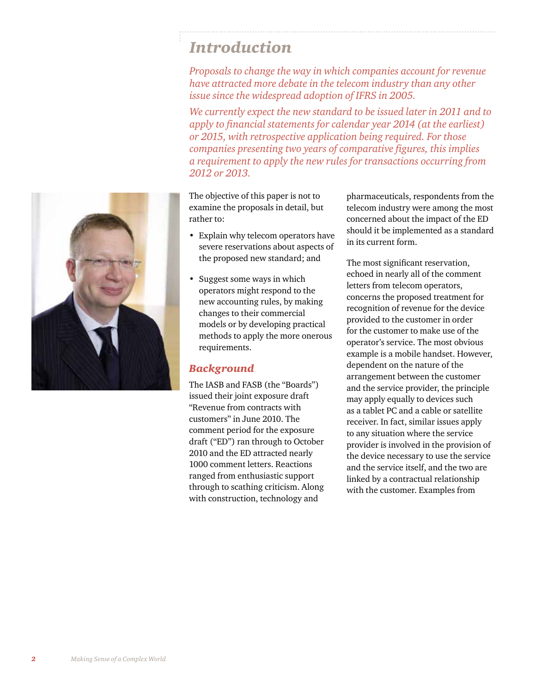## *Introduction*

*Proposals to change the way in which companies account for revenue have attracted more debate in the telecom industry than any other issue since the widespread adoption of IFRS in 2005.* 

*We currently expect the new standard to be issued later in 2011 and to apply to financial statements for calendar year 2014 (at the earliest) or 2015, with retrospective application being required. For those companies presenting two years of comparative figures, this implies a requirement to apply the new rules for transactions occurring from 2012 or 2013.*

The objective of this paper is not to examine the proposals in detail, but rather to:

- Explain why telecom operators have severe reservations about aspects of the proposed new standard; and
- Suggest some ways in which operators might respond to the new accounting rules, by making changes to their commercial models or by developing practical methods to apply the more onerous requirements.

#### *Background*

The IASB and FASB (the "Boards") issued their joint exposure draft "Revenue from contracts with customers" in June 2010. The comment period for the exposure draft ("ED") ran through to October 2010 and the ED attracted nearly 1000 comment letters. Reactions ranged from enthusiastic support through to scathing criticism. Along with construction, technology and

pharmaceuticals, respondents from the telecom industry were among the most concerned about the impact of the ED should it be implemented as a standard in its current form.

The most significant reservation, echoed in nearly all of the comment letters from telecom operators, concerns the proposed treatment for recognition of revenue for the device provided to the customer in order for the customer to make use of the operator's service. The most obvious example is a mobile handset. However, dependent on the nature of the arrangement between the customer and the service provider, the principle may apply equally to devices such as a tablet PC and a cable or satellite receiver. In fact, similar issues apply to any situation where the service provider is involved in the provision of the device necessary to use the service and the service itself, and the two are linked by a contractual relationship with the customer. Examples from

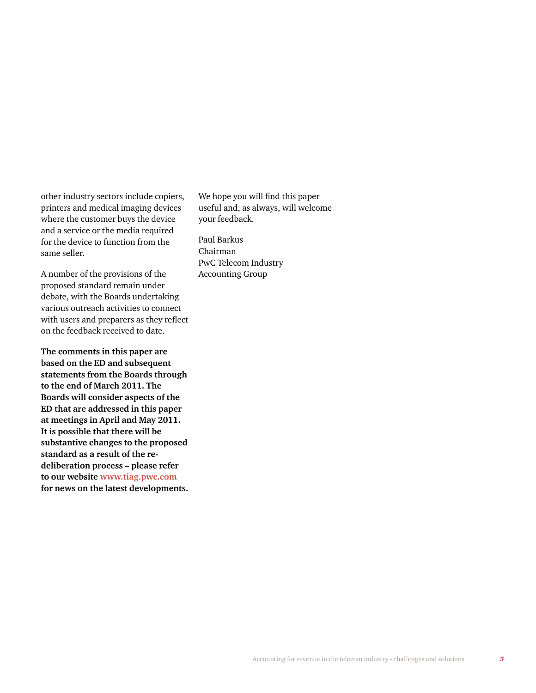other industry sectors include copiers, printers and medical imaging devices where the customer buys the device and a service or the media required for the device to function from the same seller.

A number of the provisions of the proposed standard remain under debate, with the Boards undertaking various outreach activities to connect with users and preparers as they reflect on the feedback received to date.

**The comments in this paper are based on the ED and subsequent statements from the Boards through to the end of March 2011. The Boards will consider aspects of the ED that are addressed in this paper at meetings in April and May 2011. It is possible that there will be substantive changes to the proposed standard as a result of the redeliberation process – please refer to our website www.tiag.pwc.com for news on the latest developments.** We hope you will find this paper useful and, as always, will welcome your feedback.

Paul Barkus Chairman PwC Telecom Industry Accounting Group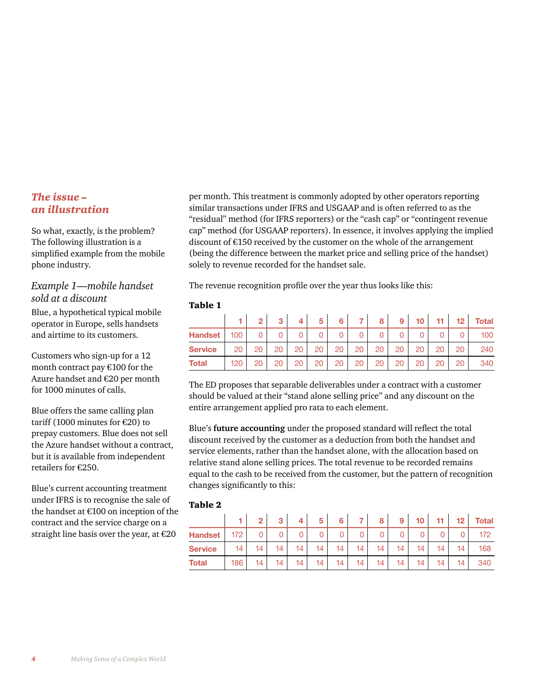#### *The issue – an illustration*

So what, exactly, is the problem? The following illustration is a simplified example from the mobile phone industry.

#### *Example 1—mobile handset sold at a discount*

Blue, a hypothetical typical mobile operator in Europe, sells handsets and airtime to its customers.

Customers who sign-up for a 12 month contract pay €100 for the Azure handset and €20 per month for 1000 minutes of calls.

Blue offers the same calling plan tariff (1000 minutes for €20) to prepay customers. Blue does not sell the Azure handset without a contract, but it is available from independent retailers for €250.

Blue's current accounting treatment under IFRS is to recognise the sale of the handset at €100 on inception of the contract and the service charge on a straight line basis over the year, at €20

per month. This treatment is commonly adopted by other operators reporting similar transactions under IFRS and USGAAP and is often referred to as the "residual" method (for IFRS reporters) or the "cash cap" or "contingent revenue cap" method (for USGAAP reporters). In essence, it involves applying the implied discount of €150 received by the customer on the whole of the arrangement (being the difference between the market price and selling price of the handset) solely to revenue recorded for the handset sale.

The revenue recognition profile over the year thus looks like this:

#### Table 1

|                |     | 2  | 3  |    | 5  | 6  |    | 8  | 9  | 10 | 11 | 12 | <b>Total</b> |
|----------------|-----|----|----|----|----|----|----|----|----|----|----|----|--------------|
| <b>Handset</b> | 100 | 0  | 0  |    |    |    |    |    |    |    |    |    | 100          |
| <b>Service</b> | 20  | 20 | 20 | 20 | 20 | 20 | 20 | 20 | 20 | 20 | 20 | 20 | 240          |
| Total          | 120 | 20 | 20 | 20 | 20 | 20 | 20 | 20 | 20 | 20 | 20 | 20 | 340          |

The ED proposes that separable deliverables under a contract with a customer should be valued at their "stand alone selling price" and any discount on the entire arrangement applied pro rata to each element.

Blue's **future accounting** under the proposed standard will reflect the total discount received by the customer as a deduction from both the handset and service elements, rather than the handset alone, with the allocation based on relative stand alone selling prices. The total revenue to be recorded remains equal to the cash to be received from the customer, but the pattern of recognition changes significantly to this:

#### Table 2

|                |     | $\overline{2}$ | 3  | 4 <sub>1</sub> | 5  | 6  | $7^{\circ}$ | 8 <sup>1</sup> | 9 <sup>1</sup>  | 10 <sup>1</sup> | 11 <sup>1</sup> |    | 12 Total |
|----------------|-----|----------------|----|----------------|----|----|-------------|----------------|-----------------|-----------------|-----------------|----|----------|
| Handset        | 172 | $\overline{0}$ | 0  | $\overline{0}$ |    | 0  | 0           | 0              | 0               | 0               |                 |    | 172      |
| <b>Service</b> | 14  |                | 14 | 14             | 14 | 14 | 14          | 14             | 14 <sub>1</sub> | 14              | 14              | 14 | 168      |
| Total          | 186 | 14             | 14 | 14             | 14 | 14 | 14          | 14             | 14              | 14              | 14              | 14 | 340      |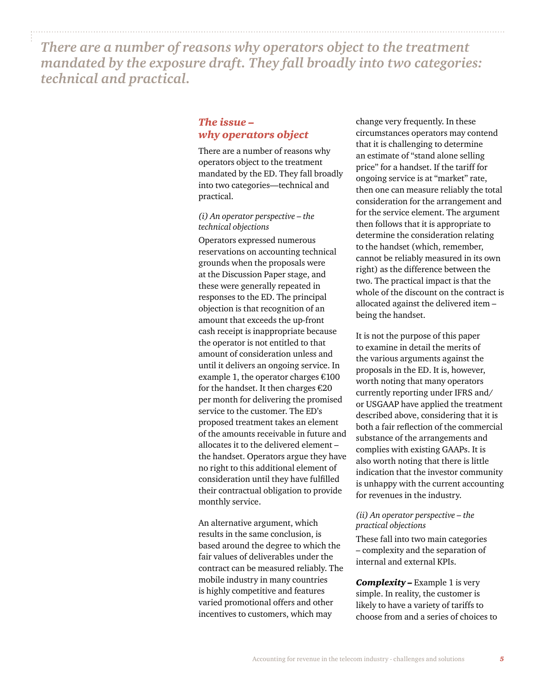*There are a number of reasons why operators object to the treatment mandated by the exposure draft. They fall broadly into two categories: technical and practical.* 

#### *The issue – why operators object*

There are a number of reasons why operators object to the treatment mandated by the ED. They fall broadly into two categories—technical and practical.

#### *(i) An operator perspective – the technical objections*

Operators expressed numerous reservations on accounting technical grounds when the proposals were at the Discussion Paper stage, and these were generally repeated in responses to the ED. The principal objection is that recognition of an amount that exceeds the up-front cash receipt is inappropriate because the operator is not entitled to that amount of consideration unless and until it delivers an ongoing service. In example 1, the operator charges  $€100$ for the handset. It then charges  $€20$ per month for delivering the promised service to the customer. The ED's proposed treatment takes an element of the amounts receivable in future and allocates it to the delivered element – the handset. Operators argue they have no right to this additional element of consideration until they have fulfilled their contractual obligation to provide monthly service.

An alternative argument, which results in the same conclusion, is based around the degree to which the fair values of deliverables under the contract can be measured reliably. The mobile industry in many countries is highly competitive and features varied promotional offers and other incentives to customers, which may

change very frequently. In these circumstances operators may contend that it is challenging to determine an estimate of "stand alone selling price" for a handset. If the tariff for ongoing service is at "market" rate, then one can measure reliably the total consideration for the arrangement and for the service element. The argument then follows that it is appropriate to determine the consideration relating to the handset (which, remember, cannot be reliably measured in its own right) as the difference between the two. The practical impact is that the whole of the discount on the contract is allocated against the delivered item – being the handset.

It is not the purpose of this paper to examine in detail the merits of the various arguments against the proposals in the ED. It is, however, worth noting that many operators currently reporting under IFRS and/ or USGAAP have applied the treatment described above, considering that it is both a fair reflection of the commercial substance of the arrangements and complies with existing GAAPs. It is also worth noting that there is little indication that the investor community is unhappy with the current accounting for revenues in the industry.

#### *(ii) An operator perspective – the practical objections*

These fall into two main categories – complexity and the separation of internal and external KPIs.

*Complexity –* Example 1 is very simple. In reality, the customer is likely to have a variety of tariffs to choose from and a series of choices to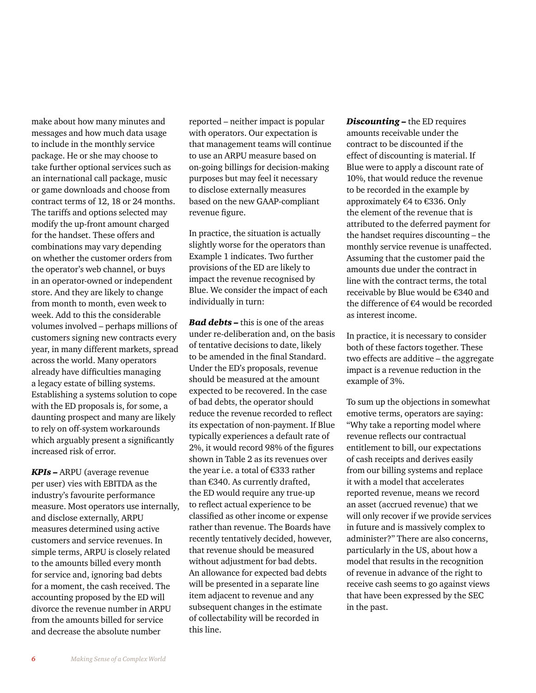make about how many minutes and messages and how much data usage to include in the monthly service package. He or she may choose to take further optional services such as an international call package, music or game downloads and choose from contract terms of 12, 18 or 24 months. The tariffs and options selected may modify the up-front amount charged for the handset. These offers and combinations may vary depending on whether the customer orders from the operator's web channel, or buys in an operator-owned or independent store. And they are likely to change from month to month, even week to week. Add to this the considerable volumes involved – perhaps millions of customers signing new contracts every year, in many different markets, spread across the world. Many operators already have difficulties managing a legacy estate of billing systems. Establishing a systems solution to cope with the ED proposals is, for some, a daunting prospect and many are likely to rely on off-system workarounds which arguably present a significantly increased risk of error.

*KPIs –* ARPU (average revenue per user) vies with EBITDA as the industry's favourite performance measure. Most operators use internally, and disclose externally, ARPU measures determined using active customers and service revenues. In simple terms, ARPU is closely related to the amounts billed every month for service and, ignoring bad debts for a moment, the cash received. The accounting proposed by the ED will divorce the revenue number in ARPU from the amounts billed for service and decrease the absolute number

reported – neither impact is popular with operators. Our expectation is that management teams will continue to use an ARPU measure based on on-going billings for decision-making purposes but may feel it necessary to disclose externally measures based on the new GAAP-compliant revenue figure.

In practice, the situation is actually slightly worse for the operators than Example 1 indicates. Two further provisions of the ED are likely to impact the revenue recognised by Blue. We consider the impact of each individually in turn:

*Bad debts –* this is one of the areas under re-deliberation and, on the basis of tentative decisions to date, likely to be amended in the final Standard. Under the ED's proposals, revenue should be measured at the amount expected to be recovered. In the case of bad debts, the operator should reduce the revenue recorded to reflect its expectation of non-payment. If Blue typically experiences a default rate of 2%, it would record 98% of the figures shown in Table 2 as its revenues over the year i.e. a total of €333 rather than €340. As currently drafted, the ED would require any true-up to reflect actual experience to be classified as other income or expense rather than revenue. The Boards have recently tentatively decided, however, that revenue should be measured without adjustment for bad debts. An allowance for expected bad debts will be presented in a separate line item adjacent to revenue and any subsequent changes in the estimate of collectability will be recorded in this line.

*Discounting –* the ED requires amounts receivable under the contract to be discounted if the effect of discounting is material. If Blue were to apply a discount rate of 10%, that would reduce the revenue to be recorded in the example by approximately €4 to €336. Only the element of the revenue that is attributed to the deferred payment for the handset requires discounting – the monthly service revenue is unaffected. Assuming that the customer paid the amounts due under the contract in line with the contract terms, the total receivable by Blue would be €340 and the difference of €4 would be recorded as interest income.

In practice, it is necessary to consider both of these factors together. These two effects are additive – the aggregate impact is a revenue reduction in the example of 3%.

To sum up the objections in somewhat emotive terms, operators are saying: "Why take a reporting model where revenue reflects our contractual entitlement to bill, our expectations of cash receipts and derives easily from our billing systems and replace it with a model that accelerates reported revenue, means we record an asset (accrued revenue) that we will only recover if we provide services in future and is massively complex to administer?" There are also concerns, particularly in the US, about how a model that results in the recognition of revenue in advance of the right to receive cash seems to go against views that have been expressed by the SEC in the past.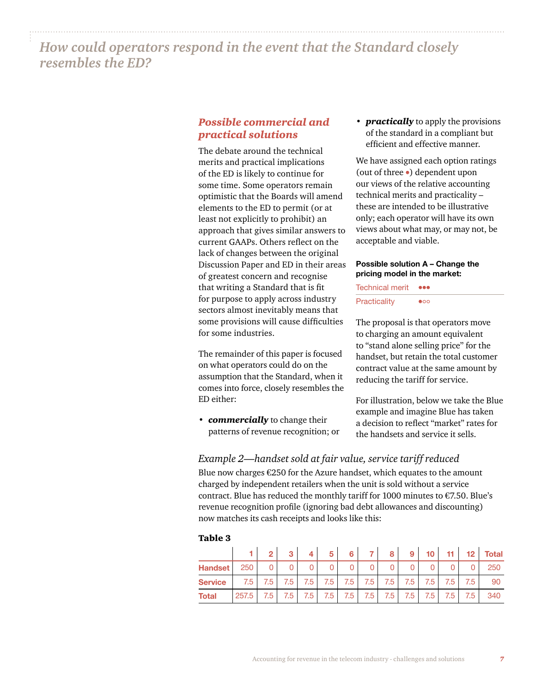*How could operators respond in the event that the Standard closely resembles the ED?*

#### *Possible commercial and practical solutions*

The debate around the technical merits and practical implications of the ED is likely to continue for some time. Some operators remain optimistic that the Boards will amend elements to the ED to permit (or at least not explicitly to prohibit) an approach that gives similar answers to current GAAPs. Others reflect on the lack of changes between the original Discussion Paper and ED in their areas of greatest concern and recognise that writing a Standard that is fit for purpose to apply across industry sectors almost inevitably means that some provisions will cause difficulties for some industries.

The remainder of this paper is focused on what operators could do on the assumption that the Standard, when it comes into force, closely resembles the ED either:

*• commercially* to change their patterns of revenue recognition; or *• practically* to apply the provisions of the standard in a compliant but efficient and effective manner.

We have assigned each option ratings (out of three •) dependent upon our views of the relative accounting technical merits and practicality – these are intended to be illustrative only; each operator will have its own views about what may, or may not, be acceptable and viable.

#### **Possible solution A – Change the pricing model in the market:**

Technical merit ••• Practicality •

The proposal is that operators move to charging an amount equivalent to "stand alone selling price" for the handset, but retain the total customer contract value at the same amount by reducing the tariff for service.

For illustration, below we take the Blue example and imagine Blue has taken a decision to reflect "market" rates for the handsets and service it sells.

#### *Example 2—handset sold at fair value, service tariff reduced*

Blue now charges  $E$ 250 for the Azure handset, which equates to the amount charged by independent retailers when the unit is sold without a service contract. Blue has reduced the monthly tariff for 1000 minutes to €7.50. Blue's revenue recognition profile (ignoring bad debt allowances and discounting) now matches its cash receipts and looks like this:

#### Table 3

|                |       | $\overline{2}$ | $\bullet$ |     | 5   | 6   |     | 8   | 9   | 10  | 11  | 12 <sub>2</sub> | <b>Total</b> |
|----------------|-------|----------------|-----------|-----|-----|-----|-----|-----|-----|-----|-----|-----------------|--------------|
| <b>Handset</b> | 250   |                |           |     |     |     | 0   | 0   |     |     |     |                 | 250          |
| <b>Service</b> | 7.5   | 7.5            | 7.5       | 7.5 | 7.5 | 7.5 | 7.5 | 7.5 | 7.5 | 7.5 | 7.5 | 7.5             | 90           |
| <b>Total</b>   | 257.5 | 7.5            | 7.5       | 7.5 | 7.5 | 7.5 | 7.5 | 7.5 | 7.5 | 7.5 | 7.5 | 7.5             | 340          |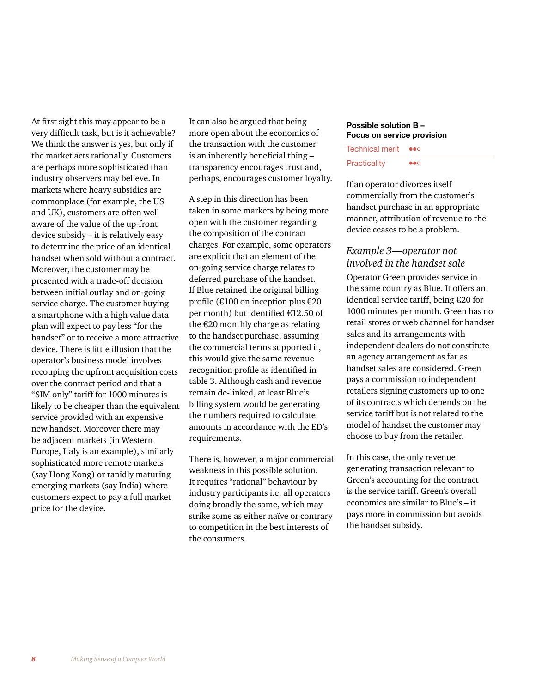At first sight this may appear to be a very difficult task, but is it achievable? We think the answer is yes, but only if the market acts rationally. Customers are perhaps more sophisticated than industry observers may believe. In markets where heavy subsidies are commonplace (for example, the US and UK), customers are often well aware of the value of the up-front device subsidy – it is relatively easy to determine the price of an identical handset when sold without a contract. Moreover, the customer may be presented with a trade-off decision between initial outlay and on-going service charge. The customer buying a smartphone with a high value data plan will expect to pay less "for the handset" or to receive a more attractive device. There is little illusion that the operator's business model involves recouping the upfront acquisition costs over the contract period and that a "SIM only" tariff for 1000 minutes is likely to be cheaper than the equivalent service provided with an expensive new handset. Moreover there may be adjacent markets (in Western Europe, Italy is an example), similarly sophisticated more remote markets (say Hong Kong) or rapidly maturing emerging markets (say India) where customers expect to pay a full market price for the device.

It can also be argued that being more open about the economics of the transaction with the customer is an inherently beneficial thing – transparency encourages trust and, perhaps, encourages customer loyalty.

A step in this direction has been taken in some markets by being more open with the customer regarding the composition of the contract charges. For example, some operators are explicit that an element of the on-going service charge relates to deferred purchase of the handset. If Blue retained the original billing profile (€100 on inception plus €20 per month) but identified €12.50 of the €20 monthly charge as relating to the handset purchase, assuming the commercial terms supported it, this would give the same revenue recognition profile as identified in table 3. Although cash and revenue remain de-linked, at least Blue's billing system would be generating the numbers required to calculate amounts in accordance with the ED's requirements.

There is, however, a major commercial weakness in this possible solution. It requires "rational" behaviour by industry participants i.e. all operators doing broadly the same, which may strike some as either naïve or contrary to competition in the best interests of the consumers.

#### **Possible solution B – Focus on service provision**

Technical merit ••• Practicality •••

If an operator divorces itself commercially from the customer's handset purchase in an appropriate manner, attribution of revenue to the device ceases to be a problem.

#### *Example 3—operator not involved in the handset sale*

Operator Green provides service in the same country as Blue. It offers an identical service tariff, being €20 for 1000 minutes per month. Green has no retail stores or web channel for handset sales and its arrangements with independent dealers do not constitute an agency arrangement as far as handset sales are considered. Green pays a commission to independent retailers signing customers up to one of its contracts which depends on the service tariff but is not related to the model of handset the customer may choose to buy from the retailer.

In this case, the only revenue generating transaction relevant to Green's accounting for the contract is the service tariff. Green's overall economics are similar to Blue's – it pays more in commission but avoids the handset subsidy.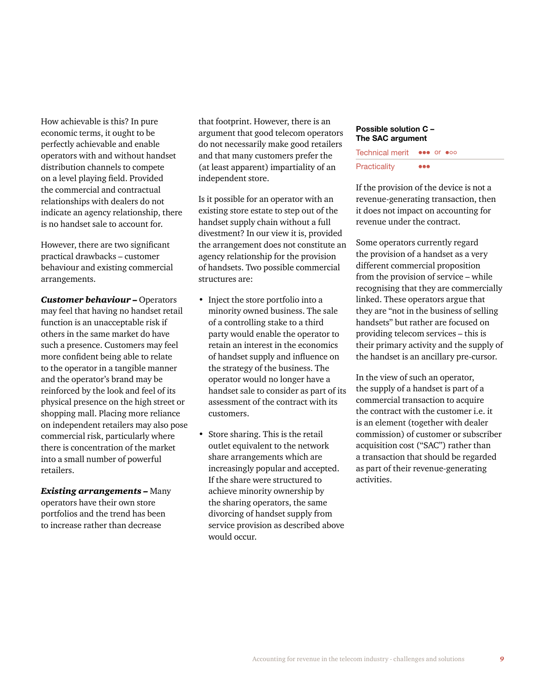How achievable is this? In pure economic terms, it ought to be perfectly achievable and enable operators with and without handset distribution channels to compete on a level playing field. Provided the commercial and contractual relationships with dealers do not indicate an agency relationship, there is no handset sale to account for.

However, there are two significant practical drawbacks – customer behaviour and existing commercial arrangements.

*Customer behaviour –* Operators may feel that having no handset retail function is an unacceptable risk if others in the same market do have such a presence. Customers may feel more confident being able to relate to the operator in a tangible manner and the operator's brand may be reinforced by the look and feel of its physical presence on the high street or shopping mall. Placing more reliance on independent retailers may also pose commercial risk, particularly where there is concentration of the market into a small number of powerful retailers.

*Existing arrangements –* Many operators have their own store portfolios and the trend has been to increase rather than decrease

that footprint. However, there is an argument that good telecom operators do not necessarily make good retailers and that many customers prefer the (at least apparent) impartiality of an independent store.

Is it possible for an operator with an existing store estate to step out of the handset supply chain without a full divestment? In our view it is, provided the arrangement does not constitute an agency relationship for the provision of handsets. Two possible commercial structures are:

- Inject the store portfolio into a minority owned business. The sale of a controlling stake to a third party would enable the operator to retain an interest in the economics of handset supply and influence on the strategy of the business. The operator would no longer have a handset sale to consider as part of its assessment of the contract with its customers.
- Store sharing. This is the retail outlet equivalent to the network share arrangements which are increasingly popular and accepted. If the share were structured to achieve minority ownership by the sharing operators, the same divorcing of handset supply from service provision as described above would occur.

#### **Possible solution C – The SAC argument**

| <b>Technical merit</b> | <b>eee or eoo</b>       |
|------------------------|-------------------------|
| Practicality           | $\bullet\bullet\bullet$ |

If the provision of the device is not a revenue-generating transaction, then it does not impact on accounting for revenue under the contract.

Some operators currently regard the provision of a handset as a very different commercial proposition from the provision of service – while recognising that they are commercially linked. These operators argue that they are "not in the business of selling handsets" but rather are focused on providing telecom services – this is their primary activity and the supply of the handset is an ancillary pre-cursor.

In the view of such an operator, the supply of a handset is part of a commercial transaction to acquire the contract with the customer i.e. it is an element (together with dealer commission) of customer or subscriber acquisition cost ("SAC") rather than a transaction that should be regarded as part of their revenue-generating activities.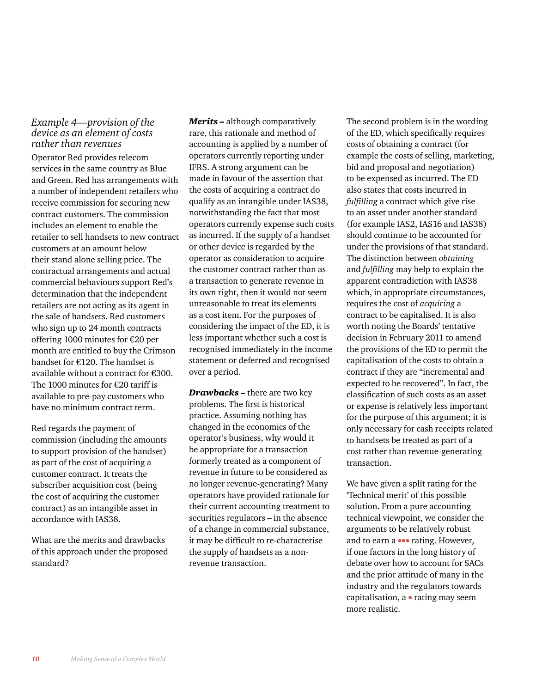#### *Example 4—provision of the device as an element of costs rather than revenues*

Operator Red provides telecom services in the same country as Blue and Green. Red has arrangements with a number of independent retailers who receive commission for securing new contract customers. The commission includes an element to enable the retailer to sell handsets to new contract customers at an amount below their stand alone selling price. The contractual arrangements and actual commercial behaviours support Red's determination that the independent retailers are not acting as its agent in the sale of handsets. Red customers who sign up to 24 month contracts offering 1000 minutes for €20 per month are entitled to buy the Crimson handset for €120. The handset is available without a contract for €300. The 1000 minutes for €20 tariff is available to pre-pay customers who have no minimum contract term.

Red regards the payment of commission (including the amounts to support provision of the handset) as part of the cost of acquiring a customer contract. It treats the subscriber acquisition cost (being the cost of acquiring the customer contract) as an intangible asset in accordance with IAS38.

What are the merits and drawbacks of this approach under the proposed standard?

*Merits –* although comparatively rare, this rationale and method of accounting is applied by a number of operators currently reporting under IFRS. A strong argument can be made in favour of the assertion that the costs of acquiring a contract do qualify as an intangible under IAS38, notwithstanding the fact that most operators currently expense such costs as incurred. If the supply of a handset or other device is regarded by the operator as consideration to acquire the customer contract rather than as a transaction to generate revenue in its own right, then it would not seem unreasonable to treat its elements as a cost item. For the purposes of considering the impact of the ED, it is less important whether such a cost is recognised immediately in the income statement or deferred and recognised over a period.

*Drawbacks –* there are two key problems. The first is historical practice. Assuming nothing has changed in the economics of the operator's business, why would it be appropriate for a transaction formerly treated as a component of revenue in future to be considered as no longer revenue-generating? Many operators have provided rationale for their current accounting treatment to securities regulators – in the absence of a change in commercial substance, it may be difficult to re-characterise the supply of handsets as a nonrevenue transaction.

The second problem is in the wording of the ED, which specifically requires costs of obtaining a contract (for example the costs of selling, marketing, bid and proposal and negotiation) to be expensed as incurred. The ED also states that costs incurred in *fulfilling* a contract which give rise to an asset under another standard (for example IAS2, IAS16 and IAS38) should continue to be accounted for under the provisions of that standard. The distinction between *obtaining*  and *fulfilling* may help to explain the apparent contradiction with IAS38 which, in appropriate circumstances, requires the cost of *acquiring* a contract to be capitalised. It is also worth noting the Boards' tentative decision in February 2011 to amend the provisions of the ED to permit the capitalisation of the costs to obtain a contract if they are "incremental and expected to be recovered". In fact, the classification of such costs as an asset or expense is relatively less important for the purpose of this argument; it is only necessary for cash receipts related to handsets be treated as part of a cost rather than revenue-generating transaction.

We have given a split rating for the 'Technical merit' of this possible solution. From a pure accounting technical viewpoint, we consider the arguments to be relatively robust and to earn a ••• rating. However, if one factors in the long history of debate over how to account for SACs and the prior attitude of many in the industry and the regulators towards capitalisation, a • rating may seem more realistic.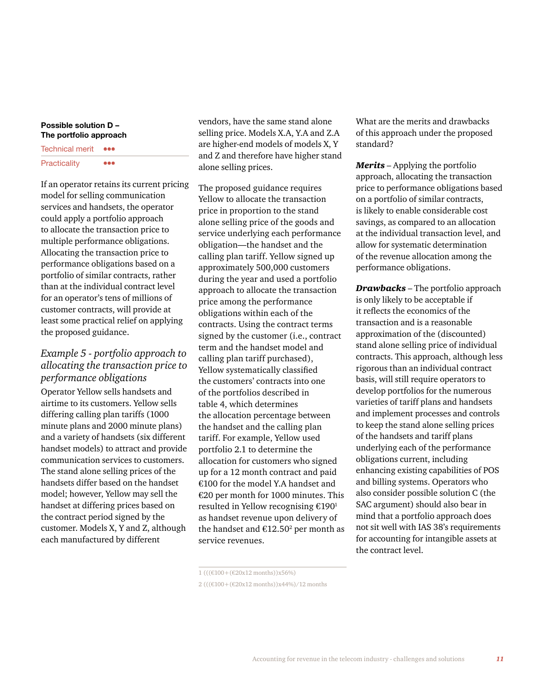#### **Possible solution D – The portfolio approach**

| <b>Technical merit</b> |     |
|------------------------|-----|
| Practicality           | 000 |

If an operator retains its current pricing model for selling communication services and handsets, the operator could apply a portfolio approach to allocate the transaction price to multiple performance obligations. Allocating the transaction price to performance obligations based on a portfolio of similar contracts, rather than at the individual contract level for an operator's tens of millions of customer contracts, will provide at least some practical relief on applying the proposed guidance.

#### *Example 5 - portfolio approach to allocating the transaction price to performance obligations*

Operator Yellow sells handsets and airtime to its customers. Yellow sells differing calling plan tariffs (1000 minute plans and 2000 minute plans) and a variety of handsets (six different handset models) to attract and provide communication services to customers. The stand alone selling prices of the handsets differ based on the handset model; however, Yellow may sell the handset at differing prices based on the contract period signed by the customer. Models X, Y and Z, although each manufactured by different

vendors, have the same stand alone selling price. Models X.A, Y.A and Z.A are higher-end models of models X, Y and Z and therefore have higher stand alone selling prices.

The proposed guidance requires Yellow to allocate the transaction price in proportion to the stand alone selling price of the goods and service underlying each performance obligation—the handset and the calling plan tariff. Yellow signed up approximately 500,000 customers during the year and used a portfolio approach to allocate the transaction price among the performance obligations within each of the contracts. Using the contract terms signed by the customer (i.e., contract term and the handset model and calling plan tariff purchased), Yellow systematically classified the customers' contracts into one of the portfolios described in table 4, which determines the allocation percentage between the handset and the calling plan tariff. For example, Yellow used portfolio 2.1 to determine the allocation for customers who signed up for a 12 month contract and paid €100 for the model Y.A handset and €20 per month for 1000 minutes. This resulted in Yellow recognising €1901 as handset revenue upon delivery of the handset and  $E12.50<sup>2</sup>$  per month as service revenues.

What are the merits and drawbacks of this approach under the proposed standard?

*Merits* – Applying the portfolio approach, allocating the transaction price to performance obligations based on a portfolio of similar contracts, is likely to enable considerable cost savings, as compared to an allocation at the individual transaction level, and allow for systematic determination of the revenue allocation among the performance obligations.

*Drawbacks* – The portfolio approach is only likely to be acceptable if it reflects the economics of the transaction and is a reasonable approximation of the (discounted) stand alone selling price of individual contracts. This approach, although less rigorous than an individual contract basis, will still require operators to develop portfolios for the numerous varieties of tariff plans and handsets and implement processes and controls to keep the stand alone selling prices of the handsets and tariff plans underlying each of the performance obligations current, including enhancing existing capabilities of POS and billing systems. Operators who also consider possible solution C (the SAC argument) should also bear in mind that a portfolio approach does not sit well with IAS 38's requirements for accounting for intangible assets at the contract level.

<sup>1 (((€100+(€20</sup>x12 months))x56%)

<sup>2 (((€100+(€20</sup>x12 months))x44%)/12 months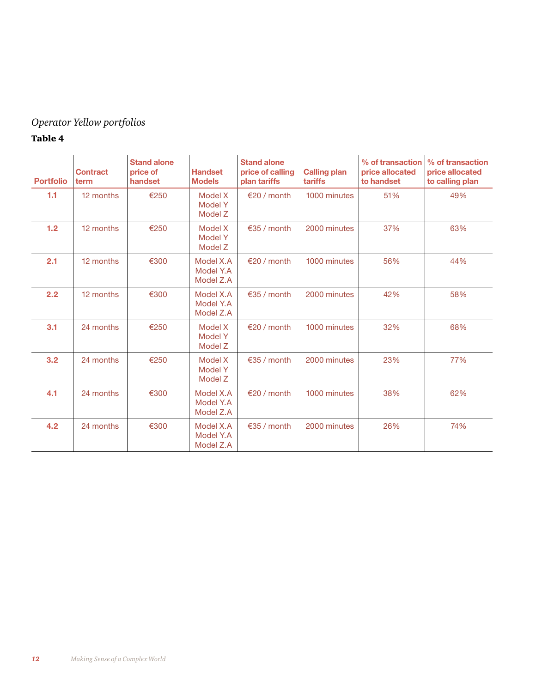### *Operator Yellow portfolios*

#### Table 4

| <b>Portfolio</b> | <b>Contract</b><br>term | <b>Stand alone</b><br>price of<br>handset | <b>Handset</b><br><b>Models</b>      | <b>Stand alone</b><br>price of calling<br>plan tariffs | <b>Calling plan</b><br>tariffs | % of transaction<br>price allocated<br>to handset | % of transaction<br>price allocated<br>to calling plan |
|------------------|-------------------------|-------------------------------------------|--------------------------------------|--------------------------------------------------------|--------------------------------|---------------------------------------------------|--------------------------------------------------------|
| 1.1              | 12 months               | €250                                      | Model X<br><b>Model Y</b><br>Model Z | €20 / month                                            | 1000 minutes                   | 51%                                               | 49%                                                    |
| 1.2              | 12 months               | €250                                      | Model X<br>Model Y<br>Model Z        | $\epsilon$ 35 / month                                  | 2000 minutes                   | 37%                                               | 63%                                                    |
| 2.1              | 12 months               | €300                                      | Model X.A<br>Model Y.A<br>Model Z.A  | €20 / month                                            | 1000 minutes                   | 56%                                               | 44%                                                    |
| 2.2              | 12 months               | €300                                      | Model X.A<br>Model Y.A<br>Model Z.A  | €35 / month                                            | 2000 minutes                   | 42%                                               | 58%                                                    |
| 3.1              | 24 months               | €250                                      | Model X<br>Model Y<br>Model Z        | $€20$ / month                                          | 1000 minutes                   | 32%                                               | 68%                                                    |
| 3.2              | 24 months               | €250                                      | Model X<br>Model Y<br>Model Z        | $\epsilon$ 35 / month                                  | 2000 minutes                   | 23%                                               | 77%                                                    |
| 4.1              | 24 months               | €300                                      | Model X.A<br>Model Y.A<br>Model Z.A  | $\epsilon$ 20 / month                                  | 1000 minutes                   | 38%                                               | 62%                                                    |
| 4.2              | 24 months               | €300                                      | Model X.A<br>Model Y.A<br>Model Z.A  | €35 / month                                            | 2000 minutes                   | 26%                                               | 74%                                                    |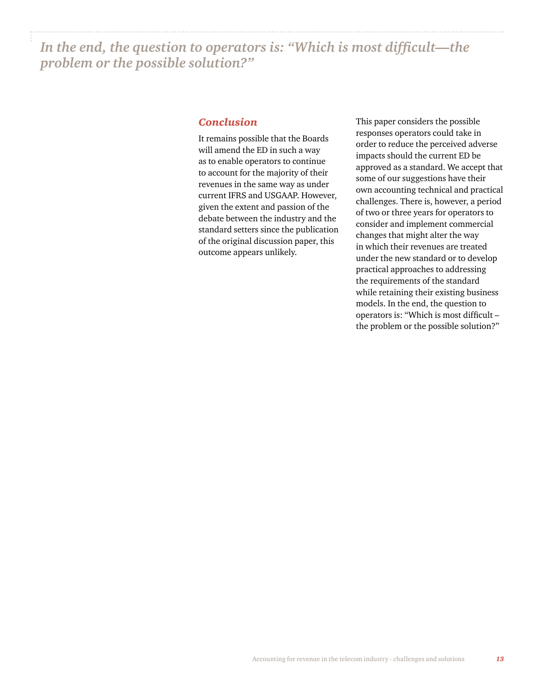*In the end, the question to operators is: "Which is most difficult—the problem or the possible solution?"*

#### *Conclusion*

It remains possible that the Boards will amend the ED in such a way as to enable operators to continue to account for the majority of their revenues in the same way as under current IFRS and USGAAP. However, given the extent and passion of the debate between the industry and the standard setters since the publication of the original discussion paper, this outcome appears unlikely.

This paper considers the possible responses operators could take in order to reduce the perceived adverse impacts should the current ED be approved as a standard. We accept that some of our suggestions have their own accounting technical and practical challenges. There is, however, a period of two or three years for operators to consider and implement commercial changes that might alter the way in which their revenues are treated under the new standard or to develop practical approaches to addressing the requirements of the standard while retaining their existing business models. In the end, the question to operators is: "Which is most difficult – the problem or the possible solution?"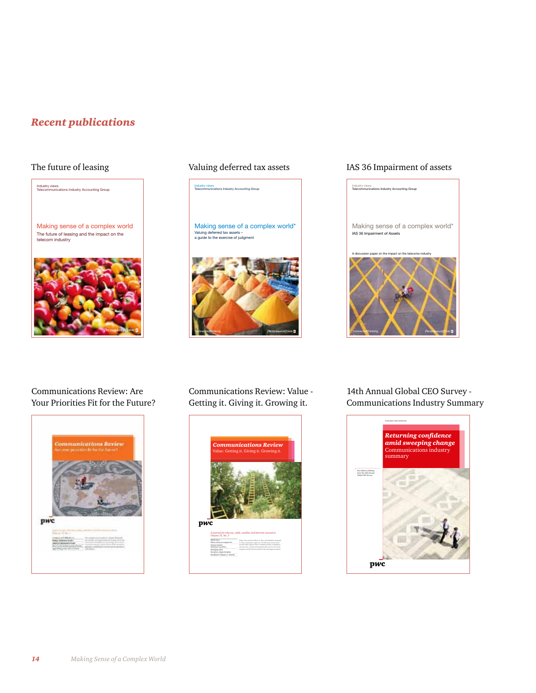### *Recent publications*

The future of leasing



#### The future of leasing Valuing deferred tax assets

Industry views Telecommunications Industry Accounting Group

Making sense of a complex world\* Valuing deferred tax assets – a guide to the exercise of judgment



#### IAS 36 Impairment of assets



Communications Review: Are Your Priorities Fit for the Future?

PriceWiveRhousECopers



Communications Review: Value - Getting it. Giving it. Growing it.



14th Annual Global CEO Survey - Communications Industry Summary

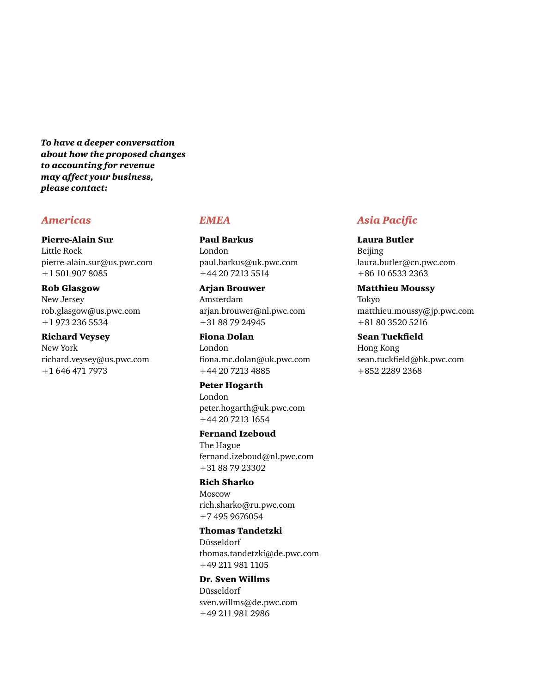*To have a deeper conversation about how the proposed changes to accounting for revenue may affect your business, please contact:*

#### *Americas*

#### Pierre-Alain Sur

Little Rock pierre-alain.sur@us.pwc.com +1 501 907 8085

#### Rob Glasgow

New Jersey rob.glasgow@us.pwc.com +1 973 236 5534

#### Richard Veysey

New York richard.veysey@us.pwc.com +1 646 471 7973

#### *EMEA*

Paul Barkus London paul.barkus@uk.pwc.com +44 20 7213 5514

#### Arjan Brouwer

Amsterdam arjan.brouwer@nl.pwc.com +31 88 79 24945

#### Fiona Dolan

London fiona.mc.dolan@uk.pwc.com +44 20 7213 4885

#### Peter Hogarth

London peter.hogarth@uk.pwc.com +44 20 7213 1654

#### Fernand Izeboud

The Hague fernand.izeboud@nl.pwc.com +31 88 79 23302

#### Rich Sharko

Moscow rich.sharko@ru.pwc.com +7 495 9676054

#### Thomas Tandetzki

Düsseldorf thomas.tandetzki@de.pwc.com +49 211 981 1105

#### Dr. Sven Willms

Düsseldorf sven.willms@de.pwc.com +49 211 981 2986

#### *Asia Pacific*

Laura Butler Beijing laura.butler@cn.pwc.com +86 10 6533 2363

#### Matthieu Moussy

Tokyo matthieu.moussy@jp.pwc.com +81 80 3520 5216

#### Sean Tuckfield

Hong Kong sean.tuckfield@hk.pwc.com +852 2289 2368